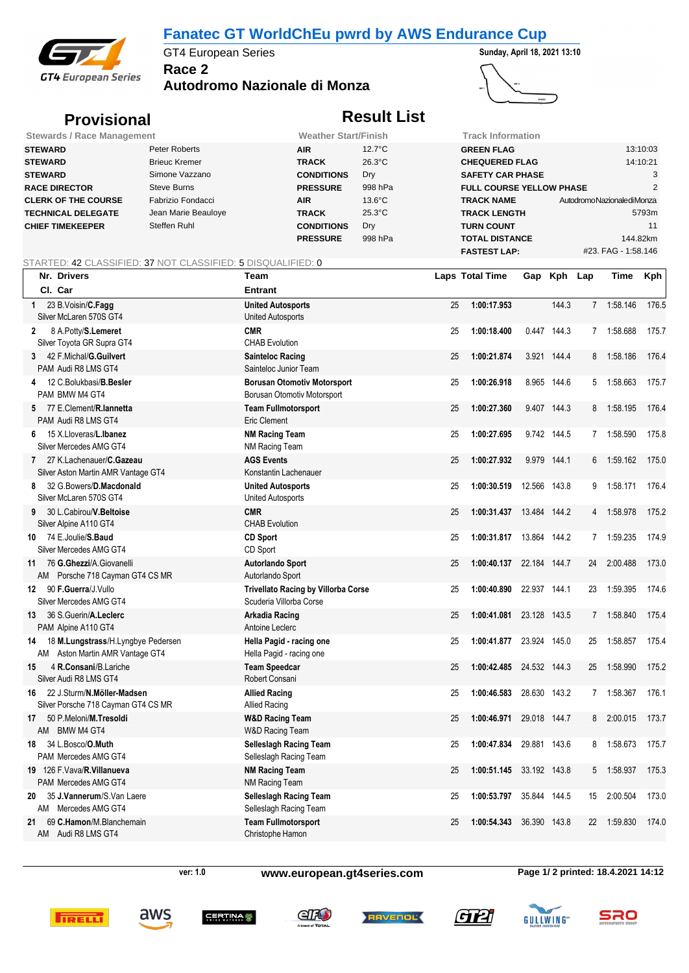## **Fanatec GT WorldChEu pwrd by AWS Endurance Cup**



**Race 2** GT4 European Series **Sunday, April 18, 2021 13:10** 

**Autodromo Nazionale di Monza**



# **Provisional** *Result List*

| <b>Stewards / Race Management</b> |                      | <b>Weather Start/Finish</b> |                  | Track Information               |                              |
|-----------------------------------|----------------------|-----------------------------|------------------|---------------------------------|------------------------------|
| <b>STEWARD</b>                    | Peter Roberts        | <b>AIR</b>                  | $12.7^{\circ}$ C | <b>GREEN FLAG</b>               | 13:10:03                     |
| <b>STEWARD</b>                    | <b>Brieuc Kremer</b> | <b>TRACK</b>                | $26.3^{\circ}$ C | <b>CHEQUERED FLAG</b>           | 14:10:21                     |
| <b>STEWARD</b>                    | Simone Vazzano       | <b>CONDITIONS</b>           | Dry              | <b>SAFETY CAR PHASE</b>         |                              |
| <b>RACE DIRECTOR</b>              | Steve Burns          | <b>PRESSURE</b>             | 998 hPa          | <b>FULL COURSE YELLOW PHASE</b> |                              |
| <b>CLERK OF THE COURSE</b>        | Fabrizio Fondacci    | <b>AIR</b>                  | $13.6^{\circ}$ C | <b>TRACK NAME</b>               | Autodromo Nazionale di Monza |
| <b>TECHNICAL DELEGATE</b>         | Jean Marie Beauloye  | <b>TRACK</b>                | $25.3^{\circ}$ C | <b>TRACK LENGTH</b>             | 5793m                        |
| <b>CHIEF TIMEKEEPER</b>           | Steffen Ruhl         | <b>CONDITIONS</b>           | Dry              | <b>TURN COUNT</b>               | 11                           |
|                                   |                      | <b>PRESSURE</b>             | 998 hPa          | <b>TOTAL DISTANCE</b>           | 144.82km                     |
|                                   |                      |                             |                  | <b>FASTEST LAP:</b>             | #23. FAG - 1:58.146          |

### STARTED: 42 CLASSIFIED: 37 NOT CLASSIFIED: 5 DISQUALIFIED: 0

| Nr. Drivers                                                                 | Team                                                                  | <b>Laps Total Time</b>           |              | Gap Kph Lap |                | Time       | <b>Kph</b> |
|-----------------------------------------------------------------------------|-----------------------------------------------------------------------|----------------------------------|--------------|-------------|----------------|------------|------------|
| CI. Car                                                                     | <b>Entrant</b>                                                        |                                  |              |             |                |            |            |
| 23 B. Voisin/C. Fagg<br>1<br>Silver McLaren 570S GT4                        | <b>United Autosports</b><br>United Autosports                         | 1:00:17.953<br>25                |              | 144.3       |                | 7 1:58.146 | 176.5      |
| 8 A.Potty/S.Lemeret<br>2<br>Silver Toyota GR Supra GT4                      | <b>CMR</b><br><b>CHAB Evolution</b>                                   | 1:00:18.400<br>25                |              | 0.447 144.3 | 7              | 1:58.688   | 175.7      |
| 3 42 F. Michal/G. Guilvert<br>PAM Audi R8 LMS GT4                           | <b>Sainteloc Racing</b><br>Sainteloc Junior Team                      | 1:00:21.874<br>25                |              | 3.921 144.4 | 8              | 1:58.186   | 176.4      |
| 12 C.Bolukbasi/B.Besler<br>4<br>PAM BMW M4 GT4                              | <b>Borusan Otomotiv Motorsport</b><br>Borusan Otomotiv Motorsport     | 1:00:26.918<br>25                |              | 8.965 144.6 | 5              | 1:58.663   | 175.7      |
| 5 77 E.Clement/R.lannetta<br>PAM Audi R8 LMS GT4                            | <b>Team Fullmotorsport</b><br>Eric Clement                            | 1:00:27.360<br>25                |              | 9.407 144.3 | 8              | 1:58.195   | 176.4      |
| 15 X.Lloveras/L.Ibanez<br>6.<br>Silver Mercedes AMG GT4                     | <b>NM Racing Team</b><br><b>NM Racing Team</b>                        | 1:00:27.695<br>25                |              | 9.742 144.5 |                | 7 1:58.590 | 175.8      |
| 27 K.Lachenauer/C.Gazeau<br>7<br>Silver Aston Martin AMR Vantage GT4        | <b>AGS Events</b><br>Konstantin Lachenauer                            | 1:00:27.932<br>25                |              | 9.979 144.1 | 6              | 1:59.162   | 175.0      |
| 32 G.Bowers/D.Macdonald<br>8<br>Silver McLaren 570S GT4                     | <b>United Autosports</b><br>United Autosports                         | 1:00:30.519<br>25                | 12.566 143.8 |             | 9              | 1:58.171   | 176.4      |
| 30 L.Cabirou/V.Beltoise<br>9<br>Silver Alpine A110 GT4                      | <b>CMR</b><br><b>CHAB Evolution</b>                                   | 1:00:31.437<br>25                | 13.484 144.2 |             | 4              | 1:58.978   | 175.2      |
| 10 74 E.Joulie/S.Baud<br>Silver Mercedes AMG GT4                            | <b>CD Sport</b><br>CD Sport                                           | 1:00:31.817  13.864  144.2<br>25 |              |             | $\overline{7}$ | 1:59.235   | 174.9      |
| 11 76 G. Ghezzi/A. Giovanelli<br>AM Porsche 718 Cayman GT4 CS MR            | <b>Autorlando Sport</b><br>Autorlando Sport                           | 1:00:40.137 22.184 144.7<br>25   |              |             | 24             | 2:00.488   | 173.0      |
| 90 F.Guerra/J.Vullo<br>12<br>Silver Mercedes AMG GT4                        | <b>Trivellato Racing by Villorba Corse</b><br>Scuderia Villorba Corse | 1:00:40.890<br>25                | 22.937 144.1 |             | 23             | 1:59.395   | 174.6      |
| 36 S.Guerin/A.Leclerc<br>13<br>PAM Alpine A110 GT4                          | Arkadia Racing<br>Antoine Leclerc                                     | 1:00:41.081<br>25                | 23.128 143.5 |             | 7              | 1:58.840   | 175.4      |
| 18 M.Lungstrass/H.Lyngbye Pedersen<br>14<br>AM Aston Martin AMR Vantage GT4 | Hella Pagid - racing one<br>Hella Pagid - racing one                  | 1:00:41.877 23.924 145.0<br>25   |              |             | 25             | 1:58.857   | 175.4      |
| 4 R.Consani/B.Lariche<br>15<br>Silver Audi R8 LMS GT4                       | <b>Team Speedcar</b><br>Robert Consani                                | 1:00:42.485<br>25                | 24.532 144.3 |             | 25             | 1:58.990   | 175.2      |
| 22 J.Sturm/N.Möller-Madsen<br>16<br>Silver Porsche 718 Cayman GT4 CS MR     | <b>Allied Racing</b><br><b>Allied Racing</b>                          | 1:00:46.583<br>25                | 28.630 143.2 |             |                | 7 1:58.367 | 176.1      |
| 50 P.Meloni/M.Tresoldi<br>17<br>BMW M4 GT4<br>AM                            | <b>W&amp;D Racing Team</b><br>W&D Racing Team                         | 1:00:46.971<br>25                | 29.018 144.7 |             | 8              | 2:00.015   | 173.7      |
| 34 L.Bosco/ <b>O.Muth</b><br>18<br>PAM Mercedes AMG GT4                     | <b>Selleslagh Racing Team</b><br>Selleslagh Racing Team               | 1:00:47.834<br>25                | 29.881 143.6 |             | 8              | 1:58.673   | 175.7      |
| 19 126 F. Vava/R. Villanueva<br>PAM Mercedes AMG GT4                        | <b>NM Racing Team</b><br><b>NM Racing Team</b>                        | 1:00:51.145<br>25                | 33.192 143.8 |             | 5              | 1:58.937   | 175.3      |
| 35 J.Vannerum/S.Van Laere<br>20<br>Mercedes AMG GT4<br>AM                   | <b>Selleslagh Racing Team</b><br>Selleslagh Racing Team               | 1:00:53.797<br>25                | 35.844 144.5 |             | 15             | 2:00.504   | 173.0      |
| 69 C.Hamon/M.Blanchemain<br>21<br>AM Audi R8 LMS GT4                        | <b>Team Fullmotorsport</b><br>Christophe Hamon                        | 1:00:54.343<br>25                | 36.390 143.8 |             | 22             | 1:59.830   | 174.0      |



aws

### **ver: 1.0 www.european.gt4series.com Page 1/ 2 printed: 18.4.2021 14:12**